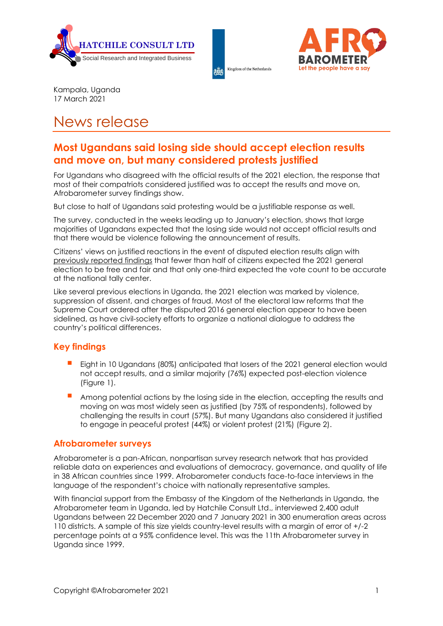





Kampala, Uganda 17 March 2021

# News release

## **Most Ugandans said losing side should accept election results and move on, but many considered protests justified**

For Ugandans who disagreed with the official results of the 2021 election, the response that most of their compatriots considered justified was to accept the results and move on, Afrobarometer survey findings show.

But close to half of Ugandans said protesting would be a justifiable response as well.

The survey, conducted in the weeks leading up to January's election, shows that large majorities of Ugandans expected that the losing side would not accept official results and that there would be violence following the announcement of results.

Citizens' views on justified reactions in the event of disputed election results align with [previously reported findings](https://afrobarometer.org/sites/default/files/press-release/Uganda/news_release-ugandans_critical_of_election_environment-afrobarometer-bh-cjl-11jan21-v3.pdf) that fewer than half of citizens expected the 2021 general election to be free and fair and that only one-third expected the vote count to be accurate at the national tally center.

Like several previous elections in Uganda, the 2021 election was marked by violence, suppression of dissent, and charges of fraud. Most of the electoral law reforms that the Supreme Court ordered after the disputed 2016 general election appear to have been sidelined, as have civil-society efforts to organize a national dialogue to address the country's political differences.

#### **Key findings**

- Eight in 10 Ugandans (80%) anticipated that losers of the 2021 general election would not accept results, and a similar majority (76%) expected post-election violence (Figure 1).
- Among potential actions by the losing side in the election, accepting the results and moving on was most widely seen as justified (by 75% of respondents), followed by challenging the results in court (57%). But many Ugandans also considered it justified to engage in peaceful protest (44%) or violent protest (21%) (Figure 2).

#### **Afrobarometer surveys**

Afrobarometer is a pan-African, nonpartisan survey research network that has provided reliable data on experiences and evaluations of democracy, governance, and quality of life in 38 African countries since 1999. Afrobarometer conducts face-to-face interviews in the language of the respondent's choice with nationally representative samples.

With financial support from the Embassy of the Kingdom of the Netherlands in Uganda, the Afrobarometer team in Uganda, led by Hatchile Consult Ltd., interviewed 2,400 adult Ugandans between 22 December 2020 and 7 January 2021 in 300 enumeration areas across 110 districts. A sample of this size yields country-level results with a margin of error of +/-2 percentage points at a 95% confidence level. This was the 11th Afrobarometer survey in Uganda since 1999.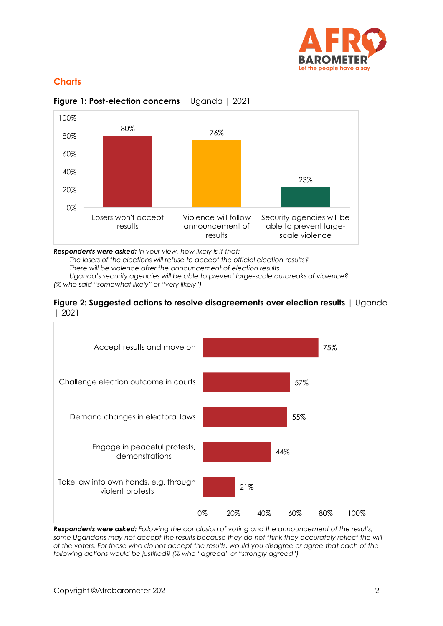

### **Charts**



**Figure 1: Post-election concerns** | Uganda | 2021

*Respondents were asked: In your view, how likely is it that:*

*The losers of the elections will refuse to accept the official election results?*

*There will be violence after the announcement of election results.*

*Uganda's security agencies will be able to prevent large-scale outbreaks of violence? (% who said "somewhat likely" or "very likely")*





*Respondents were asked: Following the conclusion of voting and the announcement of the results,*  some Ugandans may not accept the results because they do not think they accurately reflect the will *of the voters. For those who do not accept the results, would you disagree or agree that each of the following actions would be justified? (% who "agreed" or "strongly agreed")*